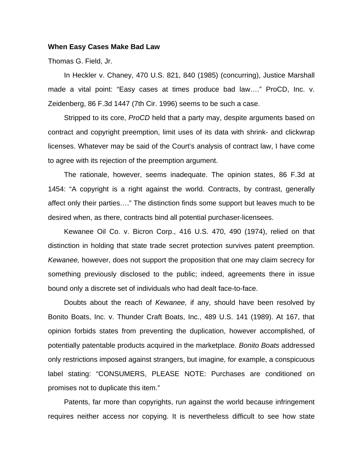## **When Easy Cases Make Bad Law**

Thomas G. Field, Jr.

 In Heckler v. Chaney, 470 U.S. 821, 840 (1985) (concurring), Justice Marshall made a vital point: "Easy cases at times produce bad law…." ProCD, Inc. v. Zeidenberg, 86 F.3d 1447 (7th Cir. 1996) seems to be such a case.

 Stripped to its core, *ProCD* held that a party may, despite arguments based on contract and copyright preemption, limit uses of its data with shrink- and clickwrap licenses. Whatever may be said of the Court's analysis of contract law, I have come to agree with its rejection of the preemption argument.

 The rationale, however, seems inadequate. The opinion states, 86 F.3d at 1454: "A copyright is a right against the world. Contracts, by contrast, generally affect only their parties…." The distinction finds some support but leaves much to be desired when, as there, contracts bind all potential purchaser-licensees.

 Kewanee Oil Co. v. Bicron Corp., 416 U.S. 470, 490 (1974), relied on that distinction in holding that state trade secret protection survives patent preemption. *Kewanee,* however, does not support the proposition that one may claim secrecy for something previously disclosed to the public; indeed, agreements there in issue bound only a discrete set of individuals who had dealt face-to-face.

 Doubts about the reach of *Kewanee,* if any, should have been resolved by Bonito Boats, Inc. v. Thunder Craft Boats, Inc., 489 U.S. 141 (1989). At 167, that opinion forbids states from preventing the duplication, however accomplished, of potentially patentable products acquired in the marketplace. *Bonito Boats* addressed only restrictions imposed against strangers, but imagine, for example, a conspicuous label stating: "CONSUMERS, PLEASE NOTE: Purchases are conditioned on promises not to duplicate this item."

 Patents, far more than copyrights, run against the world because infringement requires neither access nor copying. It is nevertheless difficult to see how state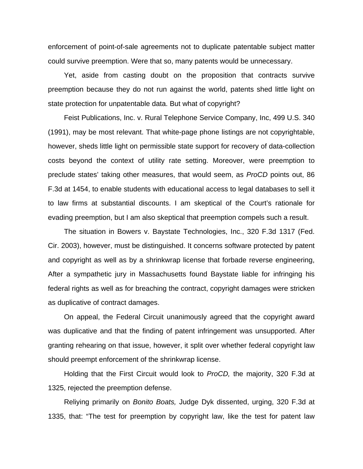enforcement of point-of-sale agreements not to duplicate patentable subject matter could survive preemption. Were that so, many patents would be unnecessary.

 Yet, aside from casting doubt on the proposition that contracts survive preemption because they do not run against the world, patents shed little light on state protection for unpatentable data. But what of copyright?

 Feist Publications, Inc. v. Rural Telephone Service Company, Inc, 499 U.S. 340 (1991), may be most relevant. That white-page phone listings are not copyrightable, however, sheds little light on permissible state support for recovery of data-collection costs beyond the context of utility rate setting. Moreover, were preemption to preclude states' taking other measures, that would seem, as *ProCD* points out, 86 F.3d at 1454, to enable students with educational access to legal databases to sell it to law firms at substantial discounts. I am skeptical of the Court's rationale for evading preemption, but I am also skeptical that preemption compels such a result.

 The situation in Bowers v. Baystate Technologies, Inc., 320 F.3d 1317 (Fed. Cir. 2003), however, must be distinguished. It concerns software protected by patent and copyright as well as by a shrinkwrap license that forbade reverse engineering, After a sympathetic jury in Massachusetts found Baystate liable for infringing his federal rights as well as for breaching the contract, copyright damages were stricken as duplicative of contract damages.

 On appeal, the Federal Circuit unanimously agreed that the copyright award was duplicative and that the finding of patent infringement was unsupported. After granting rehearing on that issue, however, it split over whether federal copyright law should preempt enforcement of the shrinkwrap license.

 Holding that the First Circuit would look to *ProCD,* the majority, 320 F.3d at 1325, rejected the preemption defense.

 Reliying primarily on *Bonito Boats,* Judge Dyk dissented, urging, 320 F.3d at 1335, that: "The test for preemption by copyright law, like the test for patent law